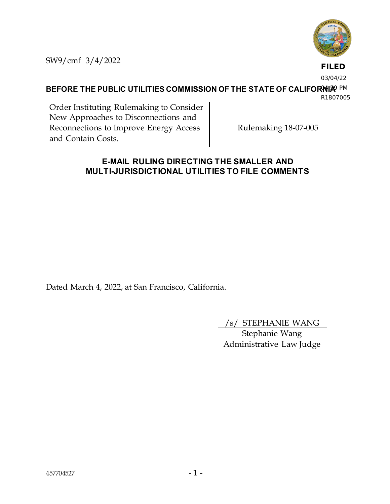

SW9/cmf 3/4/2022

**FILED**

03/04/22

**BEFORE THE PUBLIC UTILITIES COMMISSION OF THE STATE OF CALIFORNIA**<sup>9 PM</sup>

R1807005

Order Instituting Rulemaking to Consider New Approaches to Disconnections and Reconnections to Improve Energy Access and Contain Costs.

Rulemaking 18-07-005

## **E-MAIL RULING DIRECTING THE SMALLER AND MULTI-JURISDICTIONAL UTILITIES TO FILE COMMENTS**

Dated March 4, 2022, at San Francisco, California.

/s/ STEPHANIE WANG

Stephanie Wang Administrative Law Judge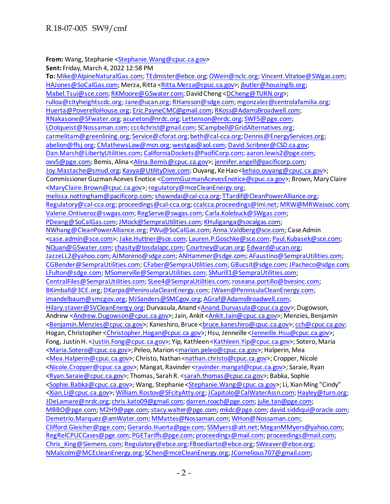**From:** Wang, Stephanie [<Stephanie.Wang@cpuc.ca.gov](mailto:Stephanie.Wang@cpuc.ca.gov)>

**Sent:** Friday, March 4, 2022 12:58 PM **To:** [Mike@AlpineNaturalGas.com](mailto:Mike@AlpineNaturalGas.com)[; TEdmister@ebce.org](mailto:TEdmister@ebce.org)[; OWein@nclc.org](mailto:OWein@nclc.org)[; Vincent.Vitatoe@SWgas.com](mailto:Vincent.Vitatoe@SWgas.com); [HAJones@SoCalGas.com](mailto:HAJones@SoCalGas.com); Merza, Ritta [<Ritta.Merza@cpuc.ca.gov>](mailto:Ritta.Merza@cpuc.ca.gov)[; jbutler@housinglb.org](mailto:jbutler@housinglb.org); [Mabel.Tsui@sce.com](mailto:Mabel.Tsui@sce.com)[; RKMoore@GSwater.com](mailto:RKMoore@GSwater.com); David Cheng [<DCheng@TURN.org](mailto:DCheng@TURN.org)>; [rulloa@cityheightscdc.org](mailto:rulloa@cityheightscdc.org)[; Jane@ucan.org](mailto:Jane@ucan.org)[; RHansson@sdge.com](mailto:RHansson@sdge.com)[; mgonzalez@centrolafamilia.org](mailto:mgonzalez@centrolafamilia.org); [Huerta@PoverelloHouse.org](mailto:Huerta@PoverelloHouse.org)[; Eric.PayneCMC@gmail.com](mailto:Eric.PayneCMC@gmail.com)[; RKoss@AdamsBroadwell.com](mailto:RKoss@AdamsBroadwell.com); [RNakasone@SFwater.org](mailto:RNakasone@SFwater.org)[; acureton@nrdc.org](mailto:acureton@nrdc.org)[; Lettenson@nrdc.org](mailto:Lettenson@nrdc.org)[; SWF5@pge.com](mailto:SWF5@pge.com); [LDolqueist@Nossaman.com](mailto:LDolqueist@Nossaman.com)[; ccc4christ@gmail.com](mailto:ccc4christ@gmail.com)[; SCampbell@GridAlternatives.org](mailto:SCampbell@GridAlternatives.org); [carmelitam@greenlining.org](mailto:carmelitam@greenlining.org)[; Service@cforat.org](mailto:Service@cforat.org)[; beth@cal-cca.org](mailto:beth@cal-cca.org)[; Dennis@EnergyServices.org](mailto:Dennis@EnergyServices.org); [abelion@ffsj.org](mailto:abelion@ffsj.org)[; CMathewsLaw@mcn.org](mailto:CMathewsLaw@mcn.org)[; westgas@aol.com](mailto:westgas@aol.com)[; David.Scribner@CSD.ca.gov](mailto:David.Scribner@CSD.ca.gov); [Dan.Marsh@LibertyUtilities.com](mailto:Dan.Marsh@LibertyUtilities.com)[; CaliforniaDockets@PacifiCorp.com](mailto:CaliforniaDockets@PacifiCorp.com)[; aaron.lewis2@pge.com](mailto:aaron.lewis2@pge.com); [oxv5@pge.com;](mailto:oxv5@pge.com) Bemis, Alina [<Alina.Bemis@cpuc.ca.gov](mailto:Alina.Bemis@cpuc.ca.gov)>[; jennifer.angell@pacificorp.com](mailto:jennifer.angell@pacificorp.com); [Joy.Mastache@smud.org](mailto:Joy.Mastache@smud.org)[; Kavya@UtilityDive.com](mailto:Kavya@UtilityDive.com); Ouyang, Ke Hao [<kehao.ouyang@cpuc.ca.gov](mailto:kehao.ouyang@cpuc.ca.gov)>; Commissioner Guzman Aceves Enotice [<CommGuzmanAcevesEnotice@cpuc.ca.gov>](mailto:CommGuzmanAcevesEnotice@cpuc.ca.gov); Brown, Mary Claire [<MaryClaire.Brown@cpuc.ca.gov>](mailto:MaryClaire.Brown@cpuc.ca.gov)[; regulatory@mceCleanEnergy.org](mailto:regulatory@mceCleanEnergy.org); [melissa.nottingham@pacificorp.com](mailto:melissa.nottingham@pacificorp.com)[; shawndai@cal-cca.org](mailto:shawndai@cal-cca.org)[; TTardif@CleanPowerAlliance.org](mailto:TTardif@CleanPowerAlliance.org); [Regulatory@cal-cca.org](mailto:Regulatory@cal-cca.org)[; proceedings@cal-cca.org](mailto:proceedings@cal-cca.org)[; ccalcca.proceedings@lmi.net](mailto:ccalcca.proceedings@lmi.net)[; MRW@MRWassoc.com](mailto:MRW@MRWassoc.com); [Valerie.Ontiveroz@swgas.com](mailto:Valerie.Ontiveroz@swgas.com)[; RegServe@swgas.com](mailto:RegServe@swgas.com)[; Carla.Kolebuck@SWgas.com](mailto:Carla.Kolebuck@SWgas.com); [PDeang@SoCalGas.com](mailto:PDeang@SoCalGas.com)[; JMock@SempraUtilities.com](mailto:JMock@SempraUtilities.com)[; KHuliganga@socalgas.com](mailto:KHuliganga@socalgas.com); [NWhang@CleanPowerAlliance.org](mailto:NWhang@CleanPowerAlliance.org)[; PWu@SoCalGas.com](mailto:PWu@SoCalGas.com)[; Anna.Valdberg@sce.com;](mailto:Anna.Valdberg@sce.com) Case Admin [<case.admin@sce.com](mailto:case.admin@sce.com)>[; Jake.Huttner@sce.com](mailto:Jake.Huttner@sce.com)[; Lauren.P.Goschke@sce.com](mailto:Lauren.P.Goschke@sce.com)[; Paul.Kubasek@sce.com](mailto:Paul.Kubasek@sce.com); [NQuan@GSwater.com](mailto:NQuan@GSwater.com)[; chasity@tosdalapc.com](mailto:chasity@tosdalapc.com)[; Courtney@ucan.org](mailto:Courtney@ucan.org)[; Edward@ucan.org](mailto:Edward@ucan.org); [JazzeLL2@yahoo.com](mailto:JazzeLL2@yahoo.com)[; AJMoreno@sdge.com](mailto:AJMoreno@sdge.com)[; ANHammer@sdge.com](mailto:ANHammer@sdge.com)[; AFaustino@SempraUtilities.com](mailto:AFaustino@SempraUtilities.com); [CGBender@SempraUtilities.com](mailto:CGBender@SempraUtilities.com)[; CFaber@SempraUtilities.com](mailto:CFaber@SempraUtilities.com)[; GBucsit@sdge.com](mailto:GBucsit@sdge.com)[; JPacheco@sdge.com;](mailto:JPacheco@sdge.com) [LFulton@sdge.com](mailto:LFulton@sdge.com)[; MSomerville@SempraUtilities.com](mailto:MSomerville@SempraUtilities.com)[; SMurill1@SempraUtilities.com](mailto:SMurill1@SempraUtilities.com); [CentralFiles@SempraUtilities.com](mailto:CentralFiles@SempraUtilities.com)[; SLee4@SempraUtilities.com](mailto:SLee4@SempraUtilities.com)[; roseana.portillo@bvesinc.com](mailto:roseana.portillo@bvesinc.com); [BKimball@3CE.org](mailto:BKimball@3CE.org)[; DKarpa@PeninsulaCleanEnergy.com](mailto:DKarpa@PeninsulaCleanEnergy.com)[; JWaen@PeninsulaCleanEnergy.com](mailto:JWaen@PeninsulaCleanEnergy.com); [imandelbaum@smcgov.org](mailto:imandelbaum@smcgov.org)[; MJSanders@SMCgov.org](mailto:MJSanders@SMCgov.org)[; AGraf@AdamsBroadwell.com](mailto:AGraf@AdamsBroadwell.com); [Hilary.staver@SVCleanEnergy.org](mailto:Hilary.staver@SVCleanEnergy.org); Durvasula, Anand [<Anand.Durvasula@cpuc.ca.gov](mailto:Anand.Durvasula@cpuc.ca.gov)>; Dugowson, Andrew [<Andrew.Dugowson@cpuc.ca.gov>](mailto:Andrew.Dugowson@cpuc.ca.gov); Jain, Ankit [<Ankit.Jain@cpuc.ca.gov](mailto:Ankit.Jain@cpuc.ca.gov)>; Menzies, Benjamin [<Benjamin.Menzies@cpuc.ca.gov](mailto:Benjamin.Menzies@cpuc.ca.gov)>; Kaneshiro, Bruce [<bruce.kaneshiro@cpuc.ca.gov](mailto:bruce.kaneshiro@cpuc.ca.gov)>[; cch@cpuc.ca.gov](mailto:cch@cpuc.ca.gov); Hogan, Christopher [<Christopher.Hogan@cpuc.ca.gov](mailto:Christopher.Hogan@cpuc.ca.gov)>; Hsu, Jenneille [<Jenneille.Hsu@cpuc.ca.gov](mailto:Jenneille.Hsu@cpuc.ca.gov)>; Fong, Justin H. [<Justin.Fong@cpuc.ca.gov](mailto:Justin.Fong@cpuc.ca.gov)>; Yip, Kathleen [<Kathleen.Yip@cpuc.ca.gov](mailto:Kathleen.Yip@cpuc.ca.gov)>; Sotero, Maria [<Maria.Sotero@cpuc.ca.gov>](mailto:Maria.Sotero@cpuc.ca.gov); Peleo, Marion [<marion.peleo@cpuc.ca.gov](mailto:marion.peleo@cpuc.ca.gov)>; Halperin, Mea [<Mea.Halperin@cpuc.ca.gov>](mailto:Mea.Halperin@cpuc.ca.gov); Christo, Nathan [<nathan.christo@cpuc.ca.gov>](mailto:nathan.christo@cpuc.ca.gov); Cropper, Nicole [<Nicole.Cropper@cpuc.ca.gov](mailto:Nicole.Cropper@cpuc.ca.gov)>; Mangat, Ravinder [<ravinder.mangat@cpuc.ca.gov>](mailto:ravinder.mangat@cpuc.ca.gov); Saraie, Ryan [<Ryan.Saraie@cpuc.ca.gov>](mailto:Ryan.Saraie@cpuc.ca.gov); Thomas, Sarah R. [<sarah.thomas@cpuc.ca.gov](mailto:sarah.thomas@cpuc.ca.gov)>; Babka, Sophie [<Sophie.Babka@cpuc.ca.gov](mailto:Sophie.Babka@cpuc.ca.gov)>; Wang, Stephanie [<Stephanie.Wang@cpuc.ca.gov](mailto:Stephanie.Wang@cpuc.ca.gov)>; Li, Xian Ming "Cindy" [<Xian.Li@cpuc.ca.gov](mailto:Xian.Li@cpuc.ca.gov)[>; William.Rostov@SFcityAtty.org](mailto:William.Rostov@SFcityAtty.org)[; JCapitolo@CalWaterAssn.com](mailto:JCapitolo@CalWaterAssn.com)[; Hayley@turn.org](mailto:Hayley@turn.org); [JDeLamare@nrdc.org](mailto:JDeLamare@nrdc.org)[; chris.kato09@gmail.com](mailto:chris.kato09@gmail.com)[; darren.roach@pge.com](mailto:darren.roach@pge.com)[; julie.tan@pge.com](mailto:julie.tan@pge.com); [MBBO@pge.com](mailto:MBBO@pge.com)[; M2H9@pge.com](mailto:M2H9@pge.com)[; stacy.walter@pge.com](mailto:stacy.walter@pge.com)[; mkdc@pge.com](mailto:mkdc@pge.com)[; david.siddiqui@oracle.com](mailto:david.siddiqui@oracle.com); [Demetrio.Marquez@amWater.com](mailto:Demetrio.Marquez@amWater.com)[; MMattes@Nossaman.com](mailto:MMattes@Nossaman.com)[; WHon@Nossaman.com](mailto:WHon@Nossaman.com); [Clifford.Gleicher@pge.com](mailto:Clifford.Gleicher@pge.com)[; Gerardo.Huerta@pge.com](mailto:Gerardo.Huerta@pge.com)[; SSMyers@att.net](mailto:SSMyers@att.net)[; MeganMMyers@yahoo.com](mailto:MeganMMyers@yahoo.com); [RegRelCPUCCases@pge.com](mailto:RegRelCPUCCases@pge.com)[; PGETariffs@pge.com](mailto:PGETariffs@pge.com)[; proceedings@mail.com; proceedings@mail.com](mailto:proceedings@mail.com); [Chris\\_King@Siemens.com](mailto:Chris_King@Siemens.com)[; Regulatory@ebce.org](mailto:Regulatory@ebce.org)[; FBoediarto@ebce.org](mailto:FBoediarto@ebce.org)[; SWeaver@ebce.org](mailto:SWeaver@ebce.org); [NMalcolm@MCEcleanEnergy.org](mailto:NMalcolm@MCEcleanEnergy.org)[; SChen@mceCleanEnergy.org](mailto:SChen@mceCleanEnergy.org)[; JCornelious707@gmail.com](mailto:JCornelious707@gmail.com);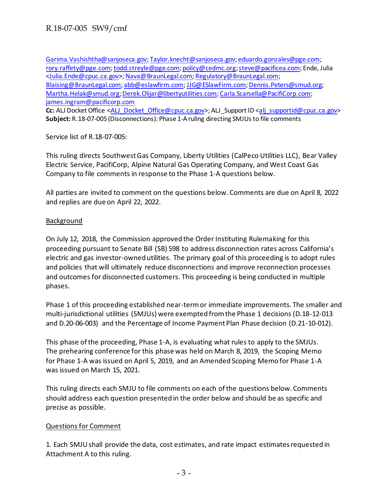[Garima.Vashishtha@sanjoseca.gov](mailto:Garima.Vashishtha@sanjoseca.gov)[; Taylor.knecht@sanjoseca.gov](mailto:Taylor.knecht@sanjoseca.gov)[; eduardo.gonzales@pge.com](mailto:eduardo.gonzales@pge.com); [rory.raffety@pge.com](mailto:rory.raffety@pge.com)[; todd.streyle@pge.com](mailto:todd.streyle@pge.com)[; policy@cedmc.org](mailto:policy@cedmc.org)[; steve@pacificea.com](mailto:steve@pacificea.com); Ende, Julia [<Julia.Ende@cpuc.ca.gov>](mailto:Julia.Ende@cpuc.ca.gov)[; Nava@BraunLegal.com](mailto:Nava@BraunLegal.com)[; Regulatory@BraunLegal.com](mailto:Regulatory@BraunLegal.com); [Blaising@BraunLegal.com](mailto:Blaising@BraunLegal.com)[; abb@eslawfirm.com](mailto:abb@eslawfirm.com)[; JJG@ESlawFirm.com](mailto:JJG@ESlawFirm.com)[; Dennis.Peters@smud.org](mailto:Dennis.Peters@smud.org); [Martha.Helak@smud.org](mailto:Martha.Helak@smud.org)[; Derek.Olijar@libertyutilities.com](mailto:Derek.Olijar@libertyutilities.com)[; Carla.Scarsella@PacifiCorp.com](mailto:Carla.Scarsella@PacifiCorp.com); [james.ingram@pacificorp.com](mailto:james.ingram@pacificorp.com) **Cc:** ALJ Docket Office <ALJ Docket Office@cpuc.ca.gov>; ALJ Support ID [<alj\\_supportid@cpuc.ca.gov](mailto:alj_supportid@cpuc.ca.gov)> **Subject:** R.18-07-005 (Disconnections): Phase 1-A ruling directing SMJUs to file comments

Service list of R.18-07-005:

This ruling directs Southwest Gas Company, Liberty Utilities (CalPeco Utilities LLC), Bear Valley Electric Service, PacifiCorp, Alpine Natural Gas Operating Company, and West Coast Gas Company to file comments in response to the Phase 1-A questions below.

All parties are invited to comment on the questions below. Comments are due on April 8, 2022 and replies are due on April 22, 2022.

## Background

On July 12, 2018, the Commission approved the Order Instituting Rulemaking for this proceeding pursuant to Senate Bill (SB) 598 to address disconnection rates across California's electric and gas investor-owned utilities. The primary goal of this proceeding is to adopt rules and policies that will ultimately reduce disconnections and improve reconnection processes and outcomes for disconnected customers. This proceeding is being conducted in multiple phases.

Phase 1 of this proceeding established near-term or immediate improvements. The smaller and multi-jurisdictional utilities (SMJUs) were exempted from the Phase 1 decisions (D.18-12-013 and D.20-06-003) and the Percentage of Income Payment Plan Phase decision (D.21-10-012).

This phase of the proceeding, Phase 1-A, is evaluating what rules to apply to the SMJUs. The prehearing conference for this phase was held on March 8, 2019, the Scoping Memo for Phase 1-A was issued on April 5, 2019, and an Amended Scoping Memo for Phase 1-A was issued on March 15, 2021.

This ruling directs each SMJU to file comments on each of the questions below. Comments should address each question presented in the order below and should be as specific and precise as possible.

## Questions for Comment

1. Each SMJU shall provide the data, cost estimates, and rate impact estimates requested in Attachment A to this ruling.